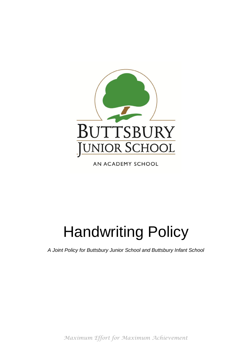

AN ACADEMY SCHOOL

# Handwriting Policy

*A Joint Policy for Buttsbury Junior School and Buttsbury Infant School*

*Maximum Effort for Maximum Achievement*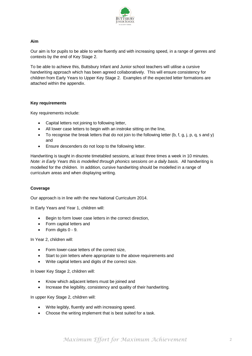

### **Aim**

Our aim is for pupils to be able to write fluently and with increasing speed, in a range of genres and contexts by the end of Key Stage 2.

To be able to achieve this, Buttsbury Infant and Junior school teachers will utilise a cursive handwriting approach which has been agreed collaboratively. This will ensure consistency for children from Early Years to Upper Key Stage 2. Examples of the expected letter formations are attached within the appendix.

### **Key requirements**

Key requirements include:

- Capital letters not joining to following letter,
- All lower case letters to begin with an instroke sitting on the line,
- $\bullet$  To recognise the break letters that do not join to the following letter (b, f, g, j, p, q, s and y) and
- Ensure descenders do not loop to the following letter.

Handwriting is taught in discrete timetabled sessions, at least three times a week in 10 minutes. *Note: in Early Years this is modelled through phonics sessions on a daily basis.* All handwriting is modelled for the children. In addition, cursive handwriting should be modelled in a range of curriculum areas and when displaying writing.

# **Coverage**

Our approach is in line with the new National Curriculum 2014.

In Early Years and Year 1, children will:

- Begin to form lower case letters in the correct direction,
- Form capital letters and
- Form digits 0 9.

In Year 2, children will:

- Form lower-case letters of the correct size,
- Start to join letters where appropriate to the above requirements and
- Write capital letters and digits of the correct size.

In lower Key Stage 2, children will:

- Know which adjacent letters must be joined and
- Increase the legibility, consistency and quality of their handwriting.

In upper Key Stage 2, children will:

- Write legibly, fluently and with increasing speed.
- Choose the writing implement that is best suited for a task.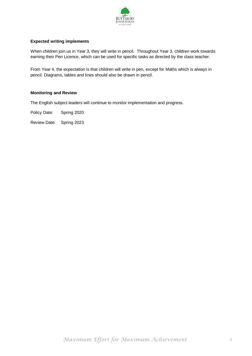

# **Expected writing implements**

When children join us in Year 3, they will write in pencil. Throughout Year 3, children work towards earning their Pen Licence, which can be used for specific tasks as directed by the class teacher.

From Year 4, the expectation is that children will write in pen, except for Maths which is always in pencil. Diagrams, tables and lines should also be drawn in pencil.

#### **Monitoring and Review**

The English subject leaders will continue to monitor implementation and progress.

Policy Date: Spring 2020

Review Date: Spring 2023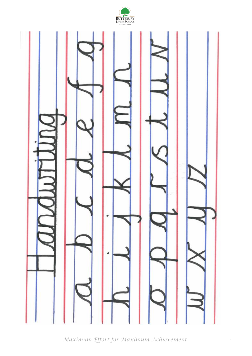

*Maximum Effort for Maximum Achievement*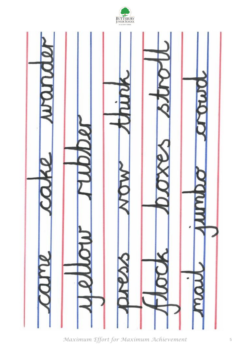

*Maximum Effort for Maximum Achievement*